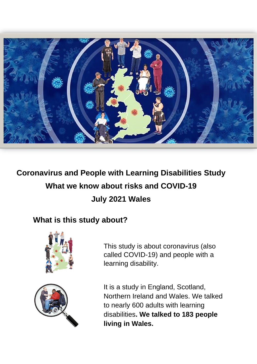

# **Coronavirus and People with Learning Disabilities Study What we know about risks and COVID-19 July 2021 Wales**

# **What is this study about?**



This study is about coronavirus (also called COVID-19) and people with a learning disability.

It is a study in England, Scotland, Northern Ireland and Wales. We talked to nearly 600 adults with learning disabilities**. We talked to 183 people living in Wales.**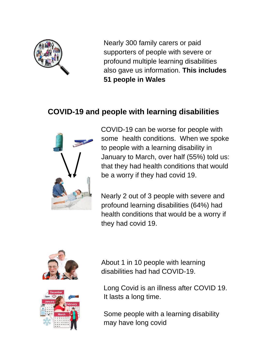

Nearly 300 family carers or paid supporters of people with severe or profound multiple learning disabilities also gave us information. **This includes 51 people in Wales**

## **COVID-19 and people with learning disabilities**



COVID-19 can be worse for people with some health conditions. When we spoke to people with a learning disability in January to March, over half (55%) told us: that they had health conditions that would be a worry if they had covid 19.

Nearly 2 out of 3 people with severe and profound learning disabilities (64%) had health conditions that would be a worry if they had covid 19.





About 1 in 10 people with learning disabilities had had COVID-19.

Long Covid is an illness after COVID 19. It lasts a long time.

Some people with a learning disability may have long covid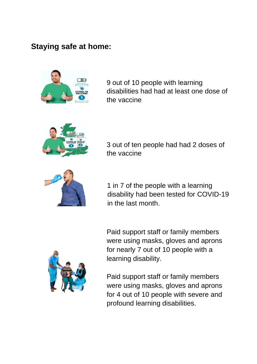### **Staying safe at home:**



9 out of 10 people with learning disabilities had had at least one dose of the vaccine



3 out of ten people had had 2 doses of the vaccine



1 in 7 of the people with a learning disability had been tested for COVID-19 in the last month.

Paid support staff or family members were using masks, gloves and aprons for nearly 7 out of 10 people with a learning disability.



Paid support staff or family members were using masks, gloves and aprons for 4 out of 10 people with severe and profound learning disabilities.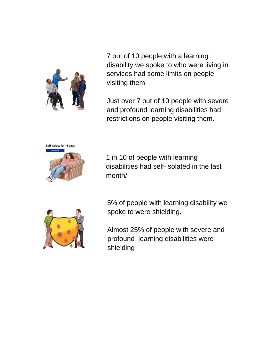

7 out of 10 people with a learning disability we spoke to who were living in services had some limits on people visiting them.

Just over 7 out of 10 people with severe and profound learning disabilities had restrictions on people visiting them.



1 in 10 of people with learning disabilities had self-isolated in the last month/



5% of people with learning disability we spoke to were shielding.

Almost 25% of people with severe and profound learning disabilities were shielding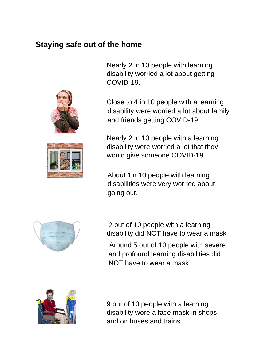### **Staying safe out of the home**





Nearly 2 in 10 people with learning disability worried a lot about getting COVID-19.

Close to 4 in 10 people with a learning disability were worried a lot about family and friends getting COVID-19.

Nearly 2 in 10 people with a learning disability were worried a lot that they would give someone COVID-19

About 1in 10 people with learning disabilities were very worried about going out.



2 out of 10 people with a learning disability did NOT have to wear a mask Around 5 out of 10 people with severe and profound learning disabilities did NOT have to wear a mask



9 out of 10 people with a learning disability wore a face mask in shops and on buses and trains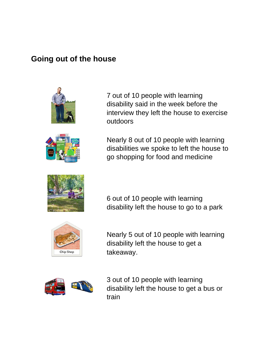### **Going out of the house**





7 out of 10 people with learning disability said in the week before the interview they left the house to exercise outdoors

Nearly 8 out of 10 people with learning disabilities we spoke to left the house to go shopping for food and medicine



6 out of 10 people with learning disability left the house to go to a park



Nearly 5 out of 10 people with learning disability left the house to get a takeaway.



3 out of 10 people with learning disability left the house to get a bus or train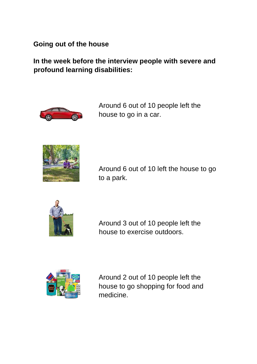#### **Going out of the house**

**In the week before the interview people with severe and profound learning disabilities:** 



Around 6 out of 10 people left the house to go in a car.



Around 6 out of 10 left the house to go to a park.



Around 3 out of 10 people left the house to exercise outdoors.



Around 2 out of 10 people left the house to go shopping for food and medicine.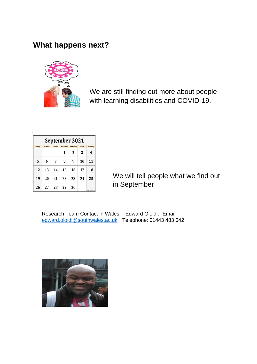### **What happens next?**



We are still finding out more about people with learning disabilities and COVID-19.

| September 2021 |        |         |           |          |        |                                |
|----------------|--------|---------|-----------|----------|--------|--------------------------------|
| Sunday         | Monday | Tuesday | Wednesday | Thursday | Friday | Saturday                       |
|                |        |         | 1         | 2        | 3      | 4                              |
| 5              | 6      | 7       | 8         | 9        | 10     | 11                             |
| 12             | 13     | 14      | 15        | 16       | 17     | 18                             |
| 19             | 20     | 21      | 22        | 23       | 24     | 25                             |
| 26             | 27     | 28      | 29        | 30       |        | <b>Allo relatively home on</b> |

We will tell people what we find out in September

Research Team Contact in Wales - Edward Oloidi: Email: edward.oloidi@southwales.ac.uk Telephone: 01443 483 042